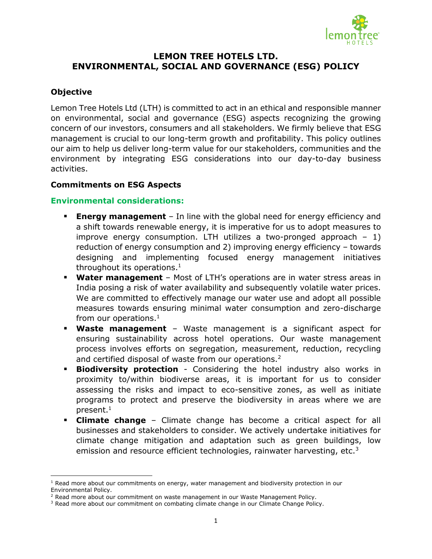

# **LEMON TREE HOTELS LTD. ENVIRONMENTAL, SOCIAL AND GOVERNANCE (ESG) POLICY**

## **Objective**

 $\overline{\phantom{a}}$ 

Lemon Tree Hotels Ltd (LTH) is committed to act in an ethical and responsible manner on environmental, social and governance (ESG) aspects recognizing the growing concern of our investors, consumers and all stakeholders. We firmly believe that ESG management is crucial to our long-term growth and profitability. This policy outlines our aim to help us deliver long-term value for our stakeholders, communities and the environment by integrating ESG considerations into our day-to-day business activities.

#### **Commitments on ESG Aspects**

### **Environmental considerations:**

- **Energy management** In line with the global need for energy efficiency and a shift towards renewable energy, it is imperative for us to adopt measures to improve energy consumption. LTH utilizes a two-pronged approach  $-1$ ) reduction of energy consumption and 2) improving energy efficiency – towards designing and implementing focused energy management initiatives throughout its operations.<sup>1</sup>
- <span id="page-0-0"></span> **Water management** – Most of LTH's operations are in water stress areas in India posing a risk of water availability and subsequently volatile water prices. We are committed to effectively manage our water use and adopt all possible measures towards ensuring minimal water consumption and zero-discharge from our operations.<sup>[1](#page-0-0)</sup>
- **Waste management** Waste management is a significant aspect for ensuring sustainability across hotel operations. Our waste management process involves efforts on segregation, measurement, reduction, recycling and certified disposal of waste from our operations.<sup>2</sup>
- **Biodiversity protection** Considering the hotel industry also works in proximity to/within biodiverse areas, it is important for us to consider assessing the risks and impact to eco-sensitive zones, as well as initiate programs to protect and preserve the biodiversity in areas where we are present[.](#page-0-0) $^1$
- **Climate change** Climate change has become a critical aspect for all businesses and stakeholders to consider. We actively undertake initiatives for climate change mitigation and adaptation such as green buildings, low emission and resource efficient technologies, rainwater harvesting, etc.<sup>3</sup>

 $<sup>1</sup>$  Read more about our commitments on energy, water management and biodiversity protection in our</sup> Environmental Policy.

<sup>&</sup>lt;sup>2</sup> Read more about our commitment on waste management in our Waste Management Policy.

<sup>&</sup>lt;sup>3</sup> Read more about our commitment on combating climate change in our Climate Change Policy.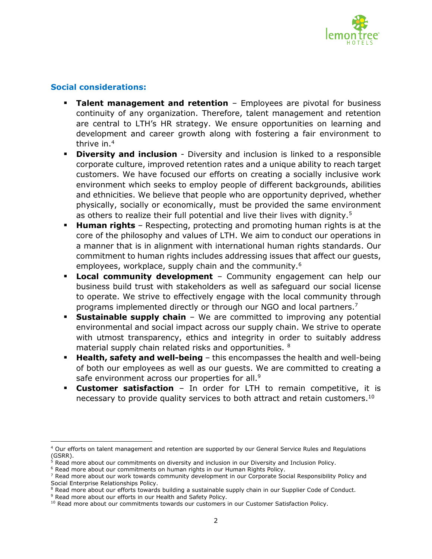

## **Social considerations:**

- **Talent management and retention** Employees are pivotal for business continuity of any organization. Therefore, talent management and retention are central to LTH's HR strategy. We ensure opportunities on learning and development and career growth along with fostering a fair environment to thrive in. 4
- **Diversity and inclusion** Diversity and inclusion is linked to a responsible corporate culture, improved retention rates and a unique ability to reach target customers. We have focused our efforts on creating a socially inclusive work environment which seeks to employ people of different backgrounds, abilities and ethnicities. We believe that people who are opportunity deprived, whether physically, socially or economically, must be provided the same environment as others to realize their full potential and live their lives with dignity.<sup>5</sup>
- **Human rights** Respecting, protecting and promoting human rights is at the core of the philosophy and values of LTH. We aim to conduct our operations in a manner that is in alignment with international human rights standards. Our commitment to human rights includes addressing issues that affect our guests, employees, workplace, supply chain and the community.<sup>6</sup>
- **Local community development** Community engagement can help our business build trust with stakeholders as well as safeguard our social license to operate. We strive to effectively engage with the local community through programs implemented directly or through our NGO and local partners.<sup>7</sup>
- **Sustainable supply chain** We are committed to improving any potential environmental and social impact across our supply chain. We strive to operate with utmost transparency, ethics and integrity in order to suitably address material supply chain related risks and opportunities. <sup>8</sup>
- **Health, safety and well-being** this encompasses the health and well-being of both our employees as well as our guests. We are committed to creating a safe environment across our properties for all.<sup>9</sup>
- **Customer satisfaction** In order for LTH to remain competitive, it is necessary to provide quality services to both attract and retain customers.<sup>10</sup>

 $\overline{a}$ <sup>4</sup> Our efforts on talent management and retention are supported by our General Service Rules and Regulations (GSRR).

<sup>&</sup>lt;sup>5</sup> Read more about our commitments on diversity and inclusion in our Diversity and Inclusion Policy.

<sup>6</sup> Read more about our commitments on human rights in our Human Rights Policy.

<sup>&</sup>lt;sup>7</sup> Read more about our work towards community development in our Corporate Social Responsibility Policy and Social Enterprise Relationships Policy.

<sup>&</sup>lt;sup>8</sup> Read more about our efforts towards building a sustainable supply chain in our Supplier Code of Conduct.

<sup>&</sup>lt;sup>9</sup> Read more about our efforts in our Health and Safety Policy.

<sup>&</sup>lt;sup>10</sup> Read more about our commitments towards our customers in our Customer Satisfaction Policy.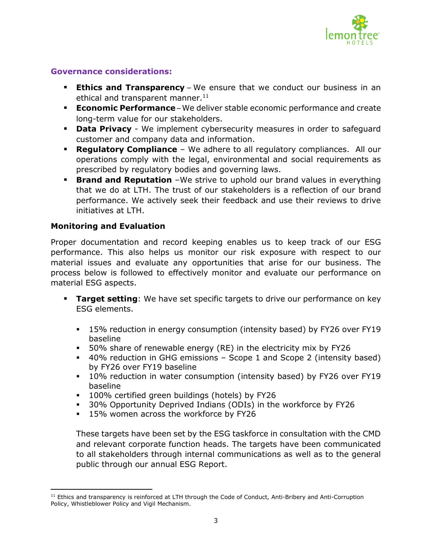

### **Governance considerations:**

- **Ethics and Transparency** We ensure that we conduct our business in an ethical and transparent manner. $11$
- **Economic Performance** We deliver stable economic performance and create long-term value for our stakeholders.
- **Data Privacy** We implement cybersecurity measures in order to safeguard customer and company data and information.
- **Regulatory Compliance**  We adhere to all regulatory compliances. All our operations comply with the legal, environmental and social requirements as prescribed by regulatory bodies and governing laws.
- **Brand and Reputation** We strive to uphold our brand values in everything that we do at LTH. The trust of our stakeholders is a reflection of our brand performance. We actively seek their feedback and use their reviews to drive initiatives at LTH.

#### **Monitoring and Evaluation**

 $\overline{\phantom{a}}$ 

Proper documentation and record keeping enables us to keep track of our ESG performance. This also helps us monitor our risk exposure with respect to our material issues and evaluate any opportunities that arise for our business. The process below is followed to effectively monitor and evaluate our performance on material ESG aspects.

- **Target setting**: We have set specific targets to drive our performance on key ESG elements.
	- **15% reduction in energy consumption (intensity based) by FY26 over FY19** baseline
	- 50% share of renewable energy (RE) in the electricity mix by FY26
	- 40% reduction in GHG emissions Scope 1 and Scope 2 (intensity based) by FY26 over FY19 baseline
	- 10% reduction in water consumption (intensity based) by FY26 over FY19 baseline
	- **100% certified green buildings (hotels) by FY26**
	- 30% Opportunity Deprived Indians (ODIs) in the workforce by FY26
	- **15% women across the workforce by FY26**

These targets have been set by the ESG taskforce in consultation with the CMD and relevant corporate function heads. The targets have been communicated to all stakeholders through internal communications as well as to the general public through our annual ESG Report.

<sup>&</sup>lt;sup>11</sup> Ethics and transparency is reinforced at LTH through the Code of Conduct, Anti-Bribery and Anti-Corruption Policy, Whistleblower Policy and Vigil Mechanism.